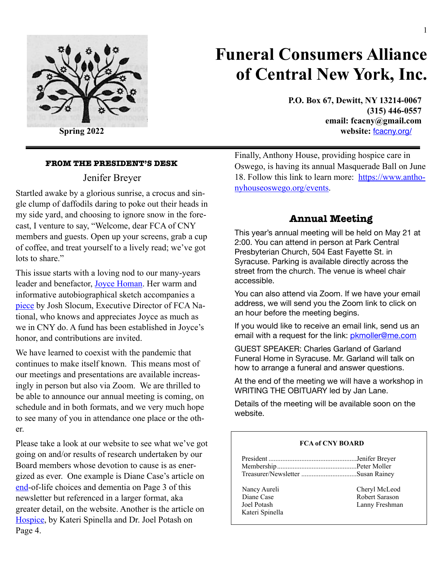

# **Funeral Consumers Alliance of Central New York, Inc.**

**P.O. Box 67, Dewitt, NY 13214-0067 (315) 446-0557 [email: fcacny@gmail.com](mailto:fcacny@gmail.com) Spring 2022** website:  $\frac{1}{2}$  website:  $\frac{1}{2}$  website:  $\frac{1}{2}$  website:  $\frac{1}{2}$  website:  $\frac{1}{2}$  website:  $\frac{1}{2}$  website:  $\frac{1}{2}$  website:  $\frac{1}{2}$  website:  $\frac{1}{2}$  website:  $\frac{1}{2}$  website:  $\frac{1}{2}$ 

#### **FROM THE PRESIDENT'S DESK**

# Jenifer Breyer

Startled awake by a glorious sunrise, a crocus and single clump of daffodils daring to poke out their heads in my side yard, and choosing to ignore snow in the forecast, I venture to say, "Welcome, dear FCA of CNY members and guests. Open up your screens, grab a cup of coffee, and treat yourself to a lively read; we've got lots to share."

This issue starts with a loving nod to our many-years leader and benefactor, [Joyce Homan](#page-1-0). Her warm and informative autobiographical sketch accompanies a [piece](#page-2-0) by Josh Slocum, Executive Director of FCA National, who knows and appreciates Joyce as much as we in CNY do. A fund has been established in Joyce's honor, and contributions are invited.

We have learned to coexist with the pandemic that continues to make itself known. This means most of our meetings and presentations are available increasingly in person but also via Zoom. We are thrilled to be able to announce our annual meeting is coming, on schedule and in both formats, and we very much hope to see many of you in attendance one place or the other.

Please take a look at our website to see what we've got going on and/or results of research undertaken by our Board members whose devotion to cause is as energized as ever. One example is Diane Case's article on [end-](#page-2-1)of-life choices and dementia on Page 3 of this newsletter but referenced in a larger format, aka greater detail, on the website. Another is the article on [Hospice,](#page-3-0) by Kateri Spinella and Dr. Joel Potash on Page 4.

Finally, Anthony House, providing hospice care in Oswego, is having its annual Masquerade Ball on June 18. Follow this link to learn more: [https://www.antho](https://www.anthonyhouseoswego.org/events)[nyhouseoswego.org/events](https://www.anthonyhouseoswego.org/events).

# **Annual Meeting**

This year's annual meeting will be held on May 21 at 2:00. You can attend in person at Park Central Presbyterian Church, 504 East Fayette St. in Syracuse. Parking is available directly across the street from the church. The venue is wheel chair accessible.

You can also attend via Zoom. If we have your email address, we will send you the Zoom link to click on an hour before the meeting begins.

If you would like to receive an email link, send us an email with a request for the link: *pkmoller@me.com* 

GUEST SPEAKER: Charles Garland of Garland Funeral Home in Syracuse. Mr. Garland will talk on how to arrange a funeral and answer questions.

At the end of the meeting we will have a workshop in WRITING THE OBITUARY led by Jan Lane.

Details of the meeting will be available soon on the website.

#### **FCA of CNY BOARD**

| Nancy Aureli | Cheryl McLeod |
|--------------|---------------|

Kateri Spinella

Diane Case Robert Sarason Joel Potash Lanny Freshman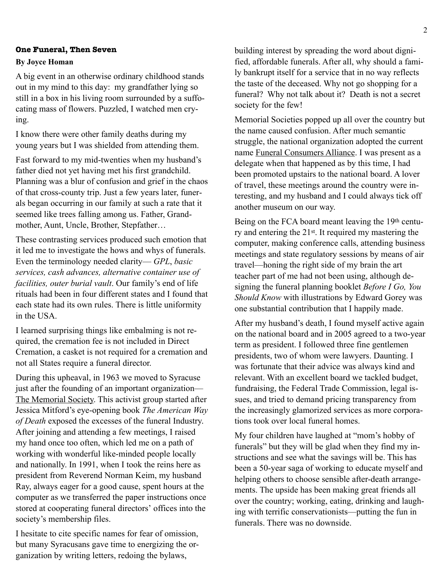#### <span id="page-1-0"></span>**One Funeral, Then Seven**

#### **By Joyce Homan**

A big event in an otherwise ordinary childhood stands out in my mind to this day: my grandfather lying so still in a box in his living room surrounded by a suffocating mass of flowers. Puzzled, I watched men crying.

I know there were other family deaths during my young years but I was shielded from attending them.

Fast forward to my mid-twenties when my husband's father died not yet having met his first grandchild. Planning was a blur of confusion and grief in the chaos of that cross-county trip. Just a few years later, funerals began occurring in our family at such a rate that it seemed like trees falling among us. Father, Grandmother, Aunt, Uncle, Brother, Stepfather…

These contrasting services produced such emotion that it led me to investigate the hows and whys of funerals. Even the terminology needed clarity— *GPL*, *basic services, cash advances, alternative container use of facilities, outer burial vault*. Our family's end of life rituals had been in four different states and I found that each state had its own rules. There is little uniformity in the USA.

I learned surprising things like embalming is not required, the cremation fee is not included in Direct Cremation, a casket is not required for a cremation and not all States require a funeral director.

During this upheaval, in 1963 we moved to Syracuse just after the founding of an important organization— The Memorial Society. This activist group started after Jessica Mitford's eye-opening book *The American Way of Death* exposed the excesses of the funeral Industry. After joining and attending a few meetings, I raised my hand once too often, which led me on a path of working with wonderful like-minded people locally and nationally. In 1991, when I took the reins here as president from Reverend Norman Keim, my husband Ray, always eager for a good cause, spent hours at the computer as we transferred the paper instructions once stored at cooperating funeral directors' offices into the society's membership files.

I hesitate to cite specific names for fear of omission, but many Syracusans gave time to energizing the organization by writing letters, redoing the bylaws,

building interest by spreading the word about dignified, affordable funerals. After all, why should a family bankrupt itself for a service that in no way reflects the taste of the deceased. Why not go shopping for a funeral? Why not talk about it? Death is not a secret society for the few!

Memorial Societies popped up all over the country but the name caused confusion. After much semantic struggle, the national organization adopted the current name Funeral Consumers Alliance. I was present as a delegate when that happened as by this time, I had been promoted upstairs to the national board. A lover of travel, these meetings around the country were interesting, and my husband and I could always tick off another museum on our way.

Being on the FCA board meant leaving the 19th century and entering the 21st. It required my mastering the computer, making conference calls, attending business meetings and state regulatory sessions by means of air travel—honing the right side of my brain the art teacher part of me had not been using, although designing the funeral planning booklet *Before I Go, You Should Know* with illustrations by Edward Gorey was one substantial contribution that I happily made.

After my husband's death, I found myself active again on the national board and in 2005 agreed to a two-year term as president. I followed three fine gentlemen presidents, two of whom were lawyers. Daunting. I was fortunate that their advice was always kind and relevant. With an excellent board we tackled budget, fundraising, the Federal Trade Commission, legal issues, and tried to demand pricing transparency from the increasingly glamorized services as more corporations took over local funeral homes.

My four children have laughed at "mom's hobby of funerals" but they will be glad when they find my instructions and see what the savings will be. This has been a 50-year saga of working to educate myself and helping others to choose sensible after-death arrangements. The upside has been making great friends all over the country; working, eating, drinking and laughing with terrific conservationists—putting the fun in funerals. There was no downside.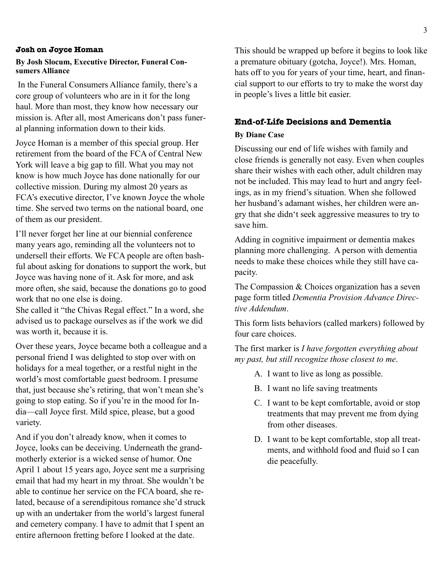#### <span id="page-2-0"></span>**Josh on Joyce Homan**

#### **By Josh Slocum, Executive Director, Funeral Consumers Alliance**

 In the Funeral Consumers Alliance family, there's a core group of volunteers who are in it for the long haul. More than most, they know how necessary our mission is. After all, most Americans don't pass funeral planning information down to their kids.

Joyce Homan is a member of this special group. Her retirement from the board of the FCA of Central New York will leave a big gap to fill. What you may not know is how much Joyce has done nationally for our collective mission. During my almost 20 years as FCA's executive director, I've known Joyce the whole time. She served two terms on the national board, one of them as our president.

I'll never forget her line at our biennial conference many years ago, reminding all the volunteers not to undersell their efforts. We FCA people are often bashful about asking for donations to support the work, but Joyce was having none of it. Ask for more, and ask more often, she said, because the donations go to good work that no one else is doing.

She called it "the Chivas Regal effect." In a word, she advised us to package ourselves as if the work we did was worth it, because it is.

Over these years, Joyce became both a colleague and a personal friend I was delighted to stop over with on holidays for a meal together, or a restful night in the world's most comfortable guest bedroom. I presume that, just because she's retiring, that won't mean she's going to stop eating. So if you're in the mood for India—call Joyce first. Mild spice, please, but a good variety.

And if you don't already know, when it comes to Joyce, looks can be deceiving. Underneath the grandmotherly exterior is a wicked sense of humor. One April 1 about 15 years ago, Joyce sent me a surprising email that had my heart in my throat. She wouldn't be able to continue her service on the FCA board, she related, because of a serendipitous romance she'd struck up with an undertaker from the world's largest funeral and cemetery company. I have to admit that I spent an entire afternoon fretting before I looked at the date.

This should be wrapped up before it begins to look like a premature obituary (gotcha, Joyce!). Mrs. Homan, hats off to you for years of your time, heart, and financial support to our efforts to try to make the worst day in people's lives a little bit easier.

#### <span id="page-2-1"></span>**End-of-Life Decisions and Dementia**

#### **By Diane Case**

Discussing our end of life wishes with family and close friends is generally not easy. Even when couples share their wishes with each other, adult children may not be included. This may lead to hurt and angry feelings, as in my friend's situation. When she followed her husband's adamant wishes, her children were angry that she didn't seek aggressive measures to try to save him.

Adding in cognitive impairment or dementia makes planning more challenging. A person with dementia needs to make these choices while they still have capacity.

The Compassion & Choices organization has a seven page form titled *Dementia Provision Advance Directive Addendum*.

This form lists behaviors (called markers) followed by four care choices.

The first marker is *I have forgotten everything about my past, but still recognize those closest to me*.

- A. I want to live as long as possible.
- B. I want no life saving treatments
- C. I want to be kept comfortable, avoid or stop treatments that may prevent me from dying from other diseases.
- D. I want to be kept comfortable, stop all treatments, and withhold food and fluid so I can die peacefully.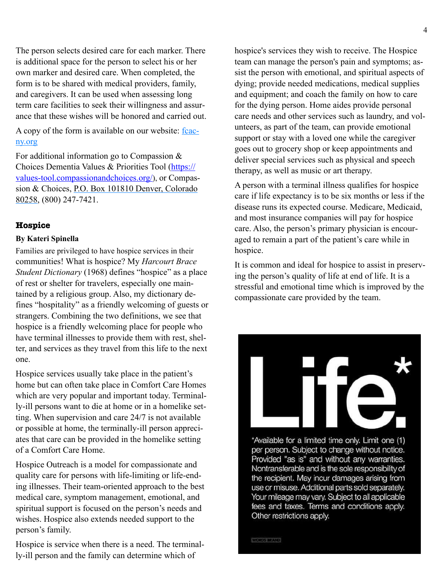The person selects desired care for each marker. There is additional space for the person to select his or her own marker and desired care. When completed, the form is to be shared with medical providers, family, and caregivers. It can be used when assessing long term care facilities to seek their willingness and assurance that these wishes will be honored and carried out.

A copy of the form is available on our website: fcacny.org

For additional information go to Compassion & Choices Dementia Values & Priorities Tool ([https://](https://values-tool.compassionandchoices.org/) [values-tool.compassionandchoices.org/](https://values-tool.compassionandchoices.org/)), or Compassion & Choices, P.O. Box 101810 Denver, Colorado 80258, (800) 247-7421.

### <span id="page-3-0"></span>**Hospice**

#### **By Kateri Spinella**

Families are privileged to have hospice services in their communities! What is hospice? My *Harcourt Brace Student Dictionary* (1968) defines "hospice" as a place of rest or shelter for travelers, especially one maintained by a religious group. Also, my dictionary defines "hospitality" as a friendly welcoming of guests or strangers. Combining the two definitions, we see that hospice is a friendly welcoming place for people who have terminal illnesses to provide them with rest, shelter, and services as they travel from this life to the next one.

Hospice services usually take place in the patient's home but can often take place in Comfort Care Homes which are very popular and important today. Terminally-ill persons want to die at home or in a homelike setting. When supervision and care 24/7 is not available or possible at home, the terminally-ill person appreciates that care can be provided in the homelike setting of a Comfort Care Home.

Hospice Outreach is a model for compassionate and quality care for persons with life-limiting or life-ending illnesses. Their team-oriented approach to the best medical care, symptom management, emotional, and spiritual support is focused on the person's needs and wishes. Hospice also extends needed support to the person's family.

Hospice is service when there is a need. The terminally-ill person and the family can determine which of

hospice's services they wish to receive. The Hospice team can manage the person's pain and symptoms; assist the person with emotional, and spiritual aspects of dying; provide needed medications, medical supplies and equipment; and coach the family on how to care for the dying person. Home aides provide personal care needs and other services such as laundry, and volunteers, as part of the team, can provide emotional support or stay with a loved one while the caregiver goes out to grocery shop or keep appointments and deliver special services such as physical and speech therapy, as well as music or art therapy.

A person with a terminal illness qualifies for hospice care if life expectancy is to be six months or less if the disease runs its expected course. Medicare, Medicaid, and most insurance companies will pay for hospice care. Also, the person's primary physician is encouraged to remain a part of the patient's care while in hospice.

It is common and ideal for hospice to assist in preserving the person's quality of life at end of life. It is a stressful and emotional time which is improved by the compassionate care provided by the team.



\*Available for a limited time only. Limit one (1) per person. Subject to change without notice. Provided "as is" and without any warranties. Nontransferable and is the sole responsibility of the recipient. May incur damages arising from use or misuse. Additional parts sold separately. Your mileage may vary. Subject to all applicable fees and taxes. Terms and conditions apply. Other restrictions apply.

WORDS MEAND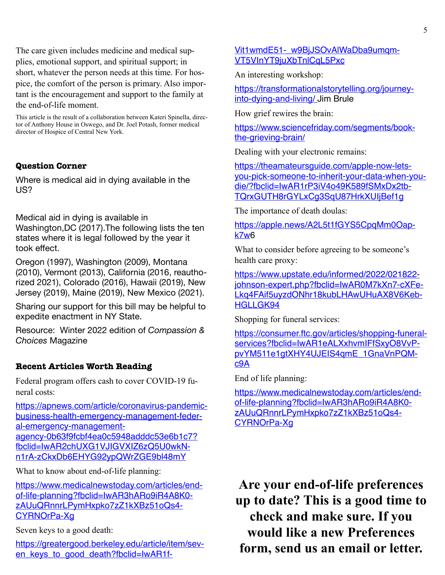The care given includes medicine and medical supplies, emotional support, and spiritual support; in short, whatever the person needs at this time. For hospice, the comfort of the person is primary. Also important is the encouragement and support to the family at the end-of-life moment.

This article is the result of a collaboration between Kateri Spinella, director of Anthony House in Oswego, and Dr. Joel Potash, former medical director of Hospice of Central New York.

# **Question Corner**

Where is medical aid in dying available in the US?

Medical aid in dying is available in Washington,DC (2017).The following lists the ten states where it is legal followed by the year it took effect.

Oregon (1997), Washington (2009), Montana (2010), Vermont (2013), California (2016, reauthorized 2021), Colorado (2016), Hawaii (2019), New Jersey (2019), Maine (2019), New Mexico (2021).

Sharing our support for this bill may be helpful to expedite enactment in NY State.

Resource: Winter 2022 edition of *Compassion & Choices* Magazine

# **Recent Articles Worth Reading**

Federal program offers cash to cover COVID-19 funeral costs:

[https://apnews.com/article/coronavirus-pandemic](https://apnews.com/article/coronavirus-pandemic-business-health-emergency-management-federal-emergency-management-agency-0b63f9fcbf4ea0c5948adddc53e6b1c7?fbclid=IwAR2chUXG1VJIGVXIZ6zQ5U0wkNn1rA-zCkxDb6EHYG92ypQWrZGE9bl48mY)[business-health-emergency-management-feder](https://apnews.com/article/coronavirus-pandemic-business-health-emergency-management-federal-emergency-management-agency-0b63f9fcbf4ea0c5948adddc53e6b1c7?fbclid=IwAR2chUXG1VJIGVXIZ6zQ5U0wkNn1rA-zCkxDb6EHYG92ypQWrZGE9bl48mY)[al-emergency-management](https://apnews.com/article/coronavirus-pandemic-business-health-emergency-management-federal-emergency-management-agency-0b63f9fcbf4ea0c5948adddc53e6b1c7?fbclid=IwAR2chUXG1VJIGVXIZ6zQ5U0wkNn1rA-zCkxDb6EHYG92ypQWrZGE9bl48mY)[agency-0b63f9fcbf4ea0c5948adddc53e6b1c7?](https://apnews.com/article/coronavirus-pandemic-business-health-emergency-management-federal-emergency-management-agency-0b63f9fcbf4ea0c5948adddc53e6b1c7?fbclid=IwAR2chUXG1VJIGVXIZ6zQ5U0wkNn1rA-zCkxDb6EHYG92ypQWrZGE9bl48mY) [fbclid=IwAR2chUXG1VJIGVXIZ6zQ5U0wkN](https://apnews.com/article/coronavirus-pandemic-business-health-emergency-management-federal-emergency-management-agency-0b63f9fcbf4ea0c5948adddc53e6b1c7?fbclid=IwAR2chUXG1VJIGVXIZ6zQ5U0wkNn1rA-zCkxDb6EHYG92ypQWrZGE9bl48mY)[n1rA-zCkxDb6EHYG92ypQWrZGE9bl48mY](https://apnews.com/article/coronavirus-pandemic-business-health-emergency-management-federal-emergency-management-agency-0b63f9fcbf4ea0c5948adddc53e6b1c7?fbclid=IwAR2chUXG1VJIGVXIZ6zQ5U0wkNn1rA-zCkxDb6EHYG92ypQWrZGE9bl48mY)

What to know about end-of-life planning:

[https://www.medicalnewstoday.com/articles/end](https://www.medicalnewstoday.com/articles/end-of-life-planning?fbclid=IwAR3hARo9iR4A8K0-zAUuQRnnrLPymHxpko7zZ1kXBz51oQs4CYRNOrPa-Xg)[of-life-planning?fbclid=IwAR3hARo9iR4A8K0](https://www.medicalnewstoday.com/articles/end-of-life-planning?fbclid=IwAR3hARo9iR4A8K0-zAUuQRnnrLPymHxpko7zZ1kXBz51oQs4CYRNOrPa-Xg) [zAUuQRnnrLPymHxpko7zZ1kXBz51oQs4-](https://www.medicalnewstoday.com/articles/end-of-life-planning?fbclid=IwAR3hARo9iR4A8K0-zAUuQRnnrLPymHxpko7zZ1kXBz51oQs4CYRNOrPa-Xg) [CYRNOrPa-Xg](https://www.medicalnewstoday.com/articles/end-of-life-planning?fbclid=IwAR3hARo9iR4A8K0-zAUuQRnnrLPymHxpko7zZ1kXBz51oQs4CYRNOrPa-Xg)

Seven keys to a good death:

[https://greatergood.berkeley.edu/article/item/sev](https://greatergood.berkeley.edu/article/item/seven_keys_to_good_death?fbclid=IwAR1fVit1wmdE51-_w9BjJSOvAlWaDba9umqmVT5VInYT9juXbTnlCqL5Pxc)[en\\_keys\\_to\\_good\\_death?fbclid=IwAR1f](https://greatergood.berkeley.edu/article/item/seven_keys_to_good_death?fbclid=IwAR1fVit1wmdE51-_w9BjJSOvAlWaDba9umqmVT5VInYT9juXbTnlCqL5Pxc)- [Vit1wmdE51-\\_w9BjJSOvAlWaDba9umqm](https://greatergood.berkeley.edu/article/item/seven_keys_to_good_death?fbclid=IwAR1fVit1wmdE51-_w9BjJSOvAlWaDba9umqmVT5VInYT9juXbTnlCqL5Pxc)-[VT5VInYT9juXbTnlCqL5Pxc](https://greatergood.berkeley.edu/article/item/seven_keys_to_good_death?fbclid=IwAR1fVit1wmdE51-_w9BjJSOvAlWaDba9umqmVT5VInYT9juXbTnlCqL5Pxc)

An interesting workshop:

https://transformationalstorytelling.org/journeyinto-dying-and-living/ Jim Brule

How grief rewires the brain:

[https://www.sciencefriday.com/segments/book](https://www.sciencefriday.com/segments/book-the-grieving-brain/)[the-grieving-brain/](https://www.sciencefriday.com/segments/book-the-grieving-brain/)

Dealing with your electronic remains:

[https://theamateursguide.com/apple-now-lets](https://theamateursguide.com/apple-now-lets-you-pick-someone-to-inherit-your-data-when-you-die/?fbclid=IwAR1rP3iV4o49K589fSMxDx2tbTQrxGUTH8rGYLxCg3SqU87HrkXUIjBef1g)[you-pick-someone-to-inherit-your-data-when-you](https://theamateursguide.com/apple-now-lets-you-pick-someone-to-inherit-your-data-when-you-die/?fbclid=IwAR1rP3iV4o49K589fSMxDx2tbTQrxGUTH8rGYLxCg3SqU87HrkXUIjBef1g)[die/?fbclid=IwAR1rP3iV4o49K589fSMxDx2tb](https://theamateursguide.com/apple-now-lets-you-pick-someone-to-inherit-your-data-when-you-die/?fbclid=IwAR1rP3iV4o49K589fSMxDx2tbTQrxGUTH8rGYLxCg3SqU87HrkXUIjBef1g)-[TQrxGUTH8rGYLxCg3SqU87HrkXUIjBef1g](https://theamateursguide.com/apple-now-lets-you-pick-someone-to-inherit-your-data-when-you-die/?fbclid=IwAR1rP3iV4o49K589fSMxDx2tbTQrxGUTH8rGYLxCg3SqU87HrkXUIjBef1g)

The importance of death doulas:

[https://apple.news/A2L5t1fGYS5CpqMm0Oap](https://apple.news/A2L5t1fGYS5CpqMm0Oapk7w)[k7w](https://apple.news/A2L5t1fGYS5CpqMm0Oapk7w)6

What to consider before agreeing to be someone's health care proxy:

[https://www.upstate.edu/informed/2022/021822](https://www.upstate.edu/informed/2022/021822-johnson-expert.php?fbclid=IwAR0M7kXn7-cXFeLkq4FAif5uyzdONhr18kubLHAwUHuAX8V6KebHGLLGK94) [johnson-expert.php?fbclid=IwAR0M7kXn7-cXFe-](https://www.upstate.edu/informed/2022/021822-johnson-expert.php?fbclid=IwAR0M7kXn7-cXFeLkq4FAif5uyzdONhr18kubLHAwUHuAX8V6KebHGLLGK94)[Lkq4FAif5uyzdONhr18kubLHAwUHuAX8V6Keb-](https://www.upstate.edu/informed/2022/021822-johnson-expert.php?fbclid=IwAR0M7kXn7-cXFeLkq4FAif5uyzdONhr18kubLHAwUHuAX8V6KebHGLLGK94)[HGLLGK94](https://www.upstate.edu/informed/2022/021822-johnson-expert.php?fbclid=IwAR0M7kXn7-cXFeLkq4FAif5uyzdONhr18kubLHAwUHuAX8V6KebHGLLGK94)

Shopping for funeral services:

[https://consumer.ftc.gov/articles/shopping-funeral](https://consumer.ftc.gov/articles/shopping-funeral-services?fbclid=IwAR1eALXxhvmIFfSxyO8VvPpvYM511e1gtXHY4UJEIS4qmE_1GnaVnPQMc9A)[services?fbclid=IwAR1eALXxhvmIFfSxyO8VvP](https://consumer.ftc.gov/articles/shopping-funeral-services?fbclid=IwAR1eALXxhvmIFfSxyO8VvPpvYM511e1gtXHY4UJEIS4qmE_1GnaVnPQMc9A)[pvYM511e1gtXHY4UJEIS4qmE\\_1GnaVnPQM](https://consumer.ftc.gov/articles/shopping-funeral-services?fbclid=IwAR1eALXxhvmIFfSxyO8VvPpvYM511e1gtXHY4UJEIS4qmE_1GnaVnPQMc9A)[c9A](https://consumer.ftc.gov/articles/shopping-funeral-services?fbclid=IwAR1eALXxhvmIFfSxyO8VvPpvYM511e1gtXHY4UJEIS4qmE_1GnaVnPQMc9A)

End of life planning:

[https://www.medicalnewstoday.com/articles/end](https://www.medicalnewstoday.com/articles/end-of-life-planning?fbclid=IwAR3hARo9iR4A8K0-zAUuQRnnrLPymHxpko7zZ1kXBz51oQs4CYRNOrPa-Xg)[of-life-planning?fbclid=IwAR3hARo9iR4A8K0](https://www.medicalnewstoday.com/articles/end-of-life-planning?fbclid=IwAR3hARo9iR4A8K0-zAUuQRnnrLPymHxpko7zZ1kXBz51oQs4CYRNOrPa-Xg) [zAUuQRnnrLPymHxpko7zZ1kXBz51oQs4](https://www.medicalnewstoday.com/articles/end-of-life-planning?fbclid=IwAR3hARo9iR4A8K0-zAUuQRnnrLPymHxpko7zZ1kXBz51oQs4CYRNOrPa-Xg)- [CYRNOrPa-Xg](https://www.medicalnewstoday.com/articles/end-of-life-planning?fbclid=IwAR3hARo9iR4A8K0-zAUuQRnnrLPymHxpko7zZ1kXBz51oQs4CYRNOrPa-Xg)

**Are your end-of-life preferences up to date? This is a good time to check and make sure. If you would like a new Preferences form, send us an email or letter.**